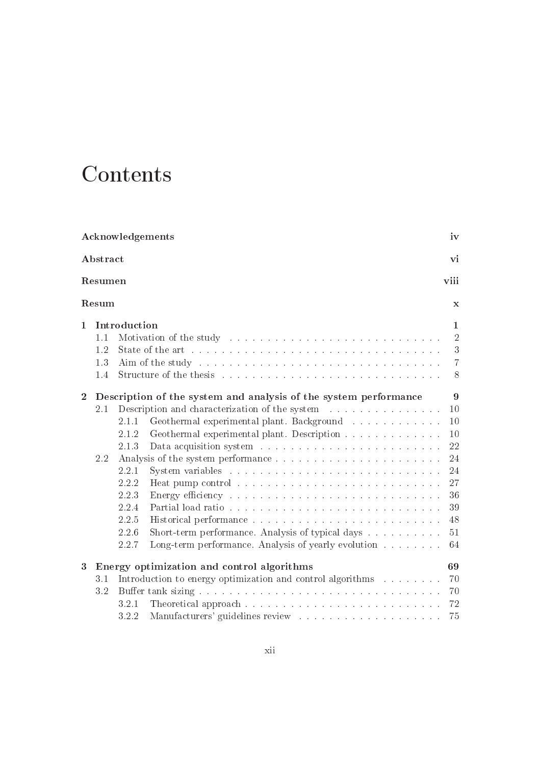## Contents

| Acknowledgements<br>Abstract |                                                                       |                                                                                                                                                                                                                                                  |                                                                                                                                                                                                                                |                |  |  |                 |  |
|------------------------------|-----------------------------------------------------------------------|--------------------------------------------------------------------------------------------------------------------------------------------------------------------------------------------------------------------------------------------------|--------------------------------------------------------------------------------------------------------------------------------------------------------------------------------------------------------------------------------|----------------|--|--|-----------------|--|
|                              |                                                                       |                                                                                                                                                                                                                                                  |                                                                                                                                                                                                                                |                |  |  | viii<br>Resumen |  |
|                              | Resum                                                                 |                                                                                                                                                                                                                                                  |                                                                                                                                                                                                                                | $\mathbf x$    |  |  |                 |  |
| $\mathbf 1$                  |                                                                       | Introduction                                                                                                                                                                                                                                     |                                                                                                                                                                                                                                | $\mathbf{1}$   |  |  |                 |  |
|                              | 1.1                                                                   |                                                                                                                                                                                                                                                  | Motivation of the study entering the study of the study of the state of the state of the state of the state of the state of the state of the state of the state of the state of the state of the state of the state of the sta | $\overline{2}$ |  |  |                 |  |
|                              | 1.2                                                                   |                                                                                                                                                                                                                                                  |                                                                                                                                                                                                                                | 3              |  |  |                 |  |
|                              | 1.3                                                                   | $\overline{7}$<br>Aim of the study response to the contract of the study of the study response to the contract of the study of the study of the study of the study of the study of the study of the study of the study of the study of the study |                                                                                                                                                                                                                                |                |  |  |                 |  |
|                              | 1.4                                                                   |                                                                                                                                                                                                                                                  | Structure of the thesis resources in the contract of the theorem is the state of the state of the state of the state of the state of the state of the state of the state of the state of the state of the state of the state o | 8              |  |  |                 |  |
| $\mathbf{2}$                 | 9<br>Description of the system and analysis of the system performance |                                                                                                                                                                                                                                                  |                                                                                                                                                                                                                                |                |  |  |                 |  |
|                              | 2.1                                                                   |                                                                                                                                                                                                                                                  | Description and characterization of the system resources and characterization of the system resources and resources                                                                                                            | 10             |  |  |                 |  |
|                              |                                                                       | 2.1.1                                                                                                                                                                                                                                            | Geothermal experimental plant. Background                                                                                                                                                                                      | 10             |  |  |                 |  |
|                              |                                                                       | 2.1.2                                                                                                                                                                                                                                            | Geothermal experimental plant. Description                                                                                                                                                                                     | 10             |  |  |                 |  |
|                              |                                                                       | 2.1.3                                                                                                                                                                                                                                            |                                                                                                                                                                                                                                | 22             |  |  |                 |  |
|                              | 2.2                                                                   |                                                                                                                                                                                                                                                  | Analysis of the system performance                                                                                                                                                                                             | 24             |  |  |                 |  |
|                              |                                                                       | 2.2.1                                                                                                                                                                                                                                            |                                                                                                                                                                                                                                | 24             |  |  |                 |  |
|                              |                                                                       | 2.2.2                                                                                                                                                                                                                                            |                                                                                                                                                                                                                                | 27             |  |  |                 |  |
|                              |                                                                       | 2.2.3                                                                                                                                                                                                                                            | Energy efficiency resources and contained a series and containing the Energy efficiency of the series of the series of the series of the series of the series of the series of the series of the series of the series of the s | 36             |  |  |                 |  |
|                              |                                                                       | 2.2.4                                                                                                                                                                                                                                            |                                                                                                                                                                                                                                | 39             |  |  |                 |  |
|                              |                                                                       | 2.2.5                                                                                                                                                                                                                                            |                                                                                                                                                                                                                                | 48             |  |  |                 |  |
|                              |                                                                       | 2.2.6                                                                                                                                                                                                                                            | Short-term performance. Analysis of typical days                                                                                                                                                                               | 51             |  |  |                 |  |
|                              |                                                                       | 2.2.7                                                                                                                                                                                                                                            | Long-term performance. Analysis of yearly evolution                                                                                                                                                                            | 64             |  |  |                 |  |
| 3                            | Energy optimization and control algorithms<br>69                      |                                                                                                                                                                                                                                                  |                                                                                                                                                                                                                                |                |  |  |                 |  |
|                              | 3.1                                                                   |                                                                                                                                                                                                                                                  | Introduction to energy optimization and control algorithms                                                                                                                                                                     | 70             |  |  |                 |  |
|                              | 3.2                                                                   |                                                                                                                                                                                                                                                  |                                                                                                                                                                                                                                | 70             |  |  |                 |  |
|                              |                                                                       | 3.2.1                                                                                                                                                                                                                                            |                                                                                                                                                                                                                                | 72             |  |  |                 |  |
|                              |                                                                       | 3.2.2                                                                                                                                                                                                                                            |                                                                                                                                                                                                                                | 75             |  |  |                 |  |